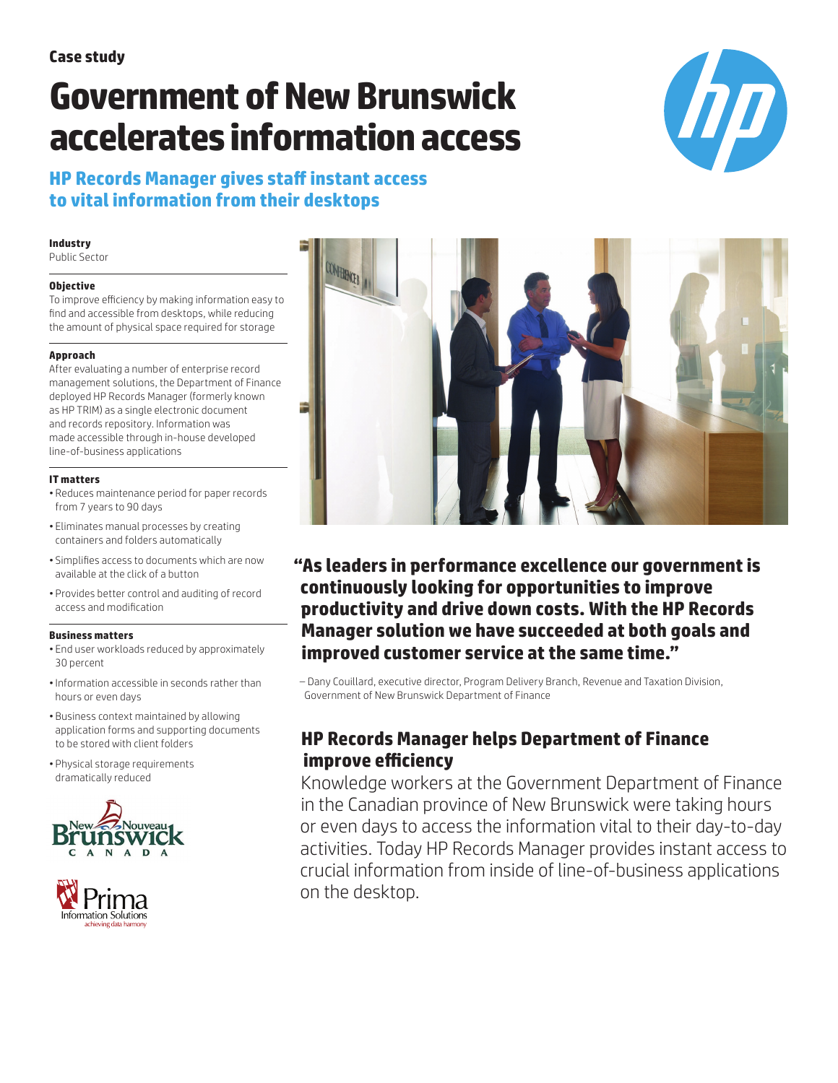# **Government of New Brunswick accelerates information access**



**HP Records Manager gives staff instant access to vital information from their desktops** 

#### **Industry**

Public Sector

#### **Objective**

To improve efficiency by making information easy to find and accessible from desktops, while reducing the amount of physical space required for storage

#### **Approach**

After evaluating a number of enterprise record management solutions, the Department of Finance deployed HP Records Manager (formerly known as HP TRIM) as a single electronic document and records repository. Information was made accessible through in-house developed line-of-business applications

#### **IT matters**

- Reduces maintenance period for paper records from 7 years to 90 days
- Eliminates manual processes by creating containers and folders automatically
- Simplifies access to documents which are now available at the click of a button
- Provides better control and auditing of record access and modification

#### **Business matters**

- End user workloads reduced by approximately 30 percent
- •Information accessible in seconds rather than hours or even days
- Business context maintained by allowing application forms and supporting documents to be stored with client folders
- Physical storage requirements dramatically reduced







**"As leaders in performance excellence our government is continuously looking for opportunities to improve productivity and drive down costs. With the HP Records Manager solution we have succeeded at both goals and improved customer service at the same time."** 

– Dany Couillard, executive director, Program Delivery Branch, Revenue and Taxation Division, Government of New Brunswick Department of Finance

## **HP Records Manager helps Department of Finance improve efficiency**

Knowledge workers at the Government Department of Finance in the Canadian province of New Brunswick were taking hours or even days to access the information vital to their day-to-day activities. Today HP Records Manager provides instant access to crucial information from inside of line-of-business applications on the desktop.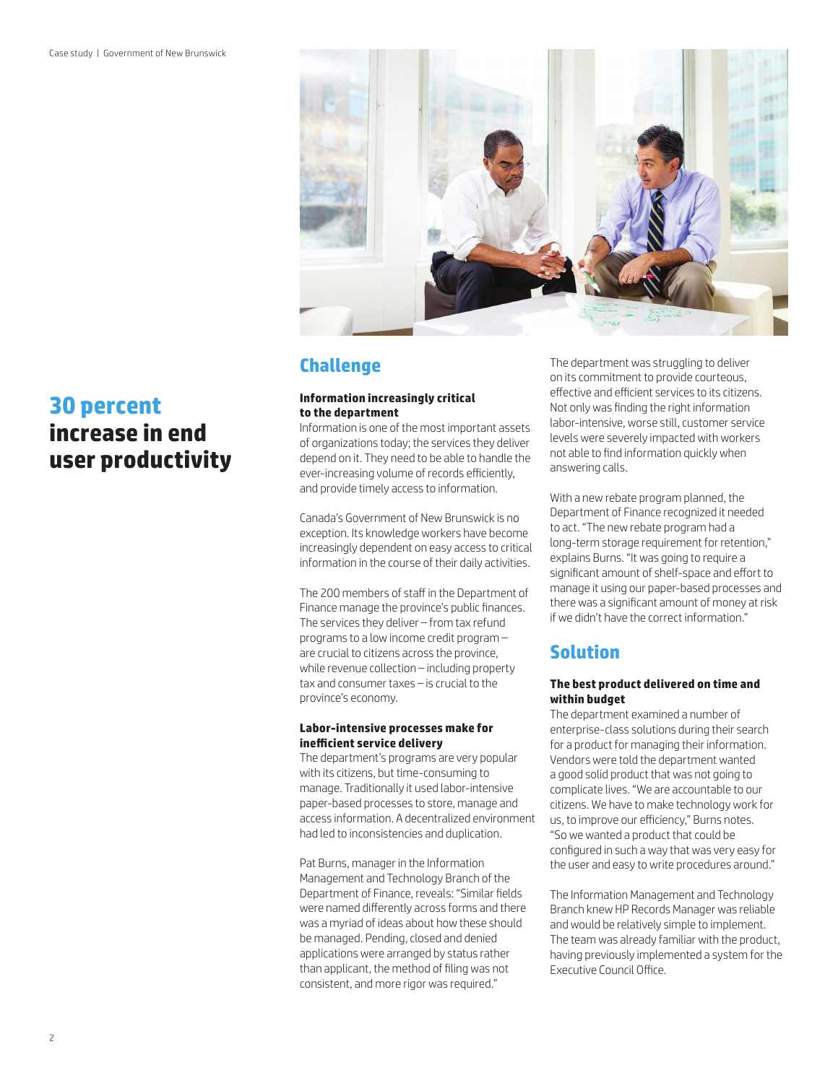



# **Challenge**

#### **Information increasingly critical to the department**

Information is one of the most important assets of organizations today; the services they deliver depend on it. They need to be able to handle the ever-increasing volume of records efficiently, and provide timely access to information.

Canada's Government of New Brunswick is no exception. Its knowledge workers have become increasingly dependent on easy access to critical information in the course of their daily activities.

The 200 members of staff in the Department of Finance manage the province's public finances. The services they deliver – from tax refund programs to a low income credit program – are crucial to citizens across the province, while revenue collection – including property tax and consumer taxes – is crucial to the province's economy.

#### **Labor-intensive processes make for inefficient service delivery**

The department's programs are very popular with its citizens, but time-consuming to manage. Traditionally it used labor-intensive paper-based processes to store, manage and access information. A decentralized environment had led to inconsistencies and duplication.

Pat Burns, manager in the Information Management and Technology Branch of the Department of Finance, reveals: "Similar fields were named differently across forms and there was a myriad of ideas about how these should be managed. Pending, closed and denied applications were arranged by status rather than applicant, the method of filing was not consistent, and more rigor was required."

The department was struggling to deliver on its commitment to provide courteous, effective and efficient services to its citizens. Not only was finding the right information labor-intensive, worse still, customer service levels were severely impacted with workers not able to find information quickly when answering calls.

With a new rebate program planned, the Department of Finance recognized it needed to act. "The new rebate program had a long-term storage requirement for retention," explains Burns. "It was going to require a significant amount of shelf-space and effort to manage it using our paper-based processes and there was a significant amount of money at risk if we didn't have the correct information."

# **Solution**

#### **The best product delivered on time and within budget**

The department examined a number of enterprise-class solutions during their search for a product for managing their information. Vendors were told the department wanted a good solid product that was not going to complicate lives. "We are accountable to our citizens. We have to make technology work for us, to improve our efficiency," Burns notes. "So we wanted a product that could be configured in such a way that was very easy for the user and easy to write procedures around."

The Information Management and Technology Branch knew HP Records Manager was reliable and would be relatively simple to implement. The team was already familiar with the product, having previously implemented a system for the Executive Council Office.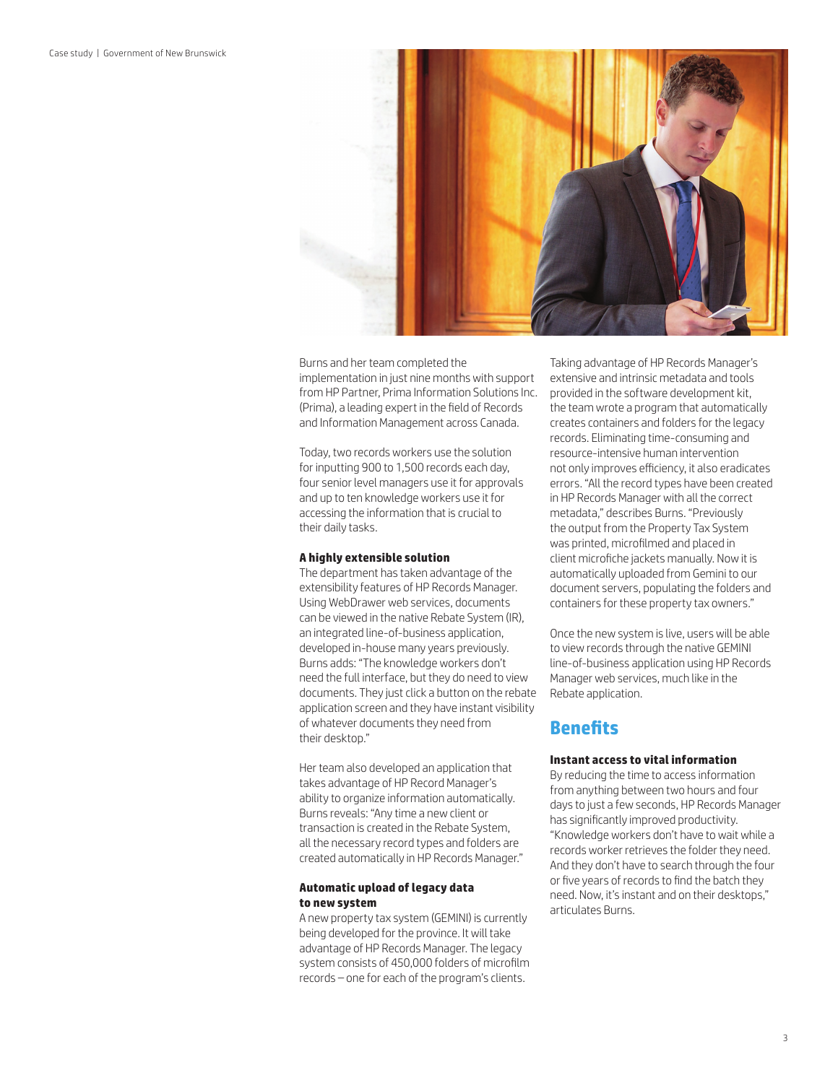

Burns and her team completed the implementation in just nine months with support from HP Partner, Prima Information Solutions Inc. (Prima), a leading expert in the field of Records and Information Management across Canada.

Today, two records workers use the solution for inputting 900 to 1,500 records each day, four senior level managers use it for approvals and up to ten knowledge workers use it for accessing the information that is crucial to their daily tasks.

#### **A highly extensible solution**

The department has taken advantage of the extensibility features of HP Records Manager. Using WebDrawer web services, documents can be viewed in the native Rebate System (IR), an integrated line-of-business application, developed in-house many years previously. Burns adds: "The knowledge workers don't need the full interface, but they do need to view documents. They just click a button on the rebate application screen and they have instant visibility of whatever documents they need from their desktop."

Her team also developed an application that takes advantage of HP Record Manager's ability to organize information automatically. Burns reveals: "Any time a new client or transaction is created in the Rebate System, all the necessary record types and folders are created automatically in HP Records Manager."

#### **Automatic upload of legacy data to new system**

A new property tax system (GEMINI) is currently being developed for the province. It will take advantage of HP Records Manager. The legacy system consists of 450,000 folders of microfilm records – one for each of the program's clients.

Taking advantage of HP Records Manager's extensive and intrinsic metadata and tools provided in the software development kit, the team wrote a program that automatically creates containers and folders for the legacy records. Eliminating time-consuming and resource-intensive human intervention not only improves efficiency, it also eradicates errors. "All the record types have been created in HP Records Manager with all the correct metadata," describes Burns. "Previously the output from the Property Tax System was printed, microfilmed and placed in client microfiche jackets manually. Now it is automatically uploaded from Gemini to our document servers, populating the folders and containers for these property tax owners."

Once the new system is live, users will be able to view records through the native GEMINI line-of-business application using HP Records Manager web services, much like in the Rebate application.

### **Benefits**

#### **Instant access to vital information**

By reducing the time to access information from anything between two hours and four days to just a few seconds, HP Records Manager has significantly improved productivity. "Knowledge workers don't have to wait while a records worker retrieves the folder they need. And they don't have to search through the four or five years of records to find the batch they need. Now, it's instant and on their desktops," articulates Burns.